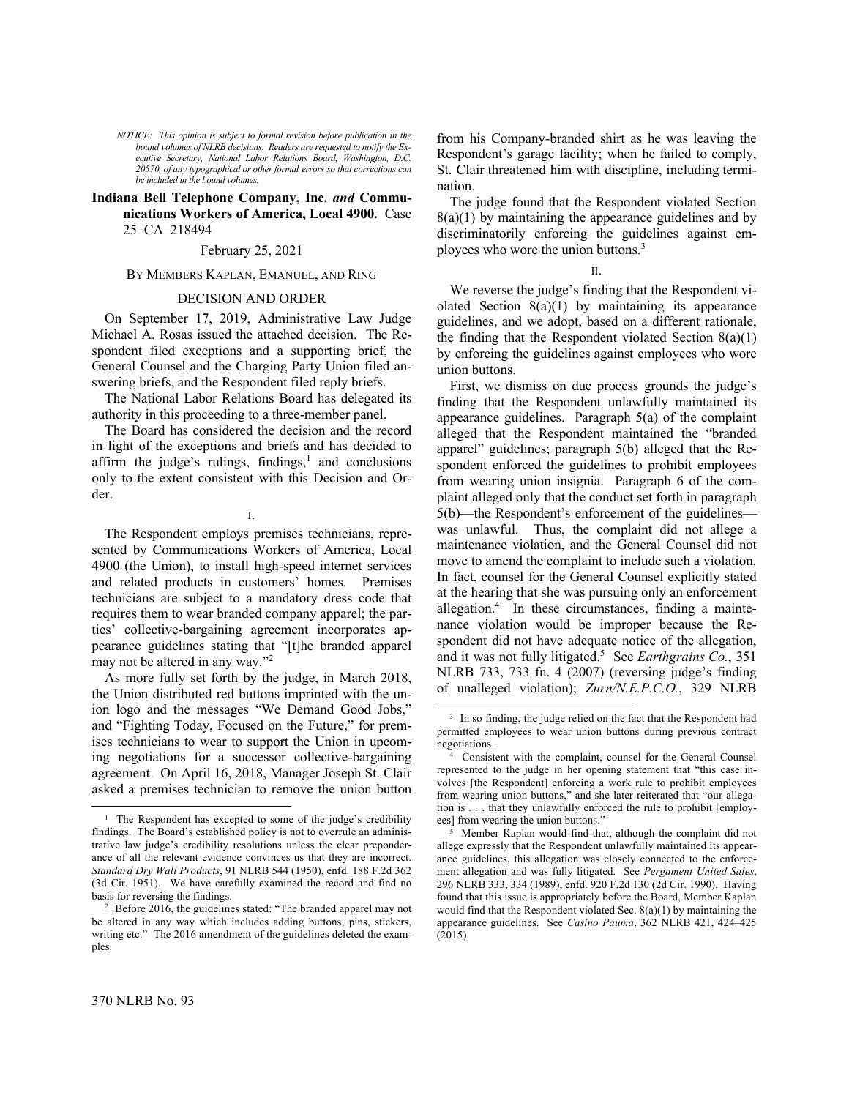*NOTICE: This opinion is subject to formal revision before publication in the bound volumes of NLRB decisions. Readers are requested to notify the Executive Secretary, National Labor Relations Board, Washington, D.C. 20570, of any typographical or other formal errors so that corrections can be included in the bound volumes.*

# **Indiana Bell Telephone Company, Inc.** *and* **Communications Workers of America, Local 4900.** Case 25-CA-218494

# February 25, 2021

# BY MEMBERS KAPLAN, EMANUEL, AND RING

### DECISION AND ORDER

On September 17, 2019, Administrative Law Judge Michael A. Rosas issued the attached decision. The Respondent filed exceptions and a supporting brief, the General Counsel and the Charging Party Union filed answering briefs, and the Respondent filed reply briefs.

The National Labor Relations Board has delegated its authority in this proceeding to a three-member panel.

The Board has considered the decision and the record in light of the exceptions and briefs and has decided to affirm the judge's rulings, findings, $<sup>1</sup>$  and conclusions</sup> only to the extent consistent with this Decision and Order.

I.

The Respondent employs premises technicians, represented by Communications Workers of America, Local 4900 (the Union), to install high-speed internet services and related products in customers' homes. Premises technicians are subject to a mandatory dress code that requires them to wear branded company apparel; the parties' collective-bargaining agreement incorporates appearance guidelines stating that "[t]he branded apparel may not be altered in any way."<sup>2</sup>

As more fully set forth by the judge, in March 2018, the Union distributed red buttons imprinted with the union logo and the messages "We Demand Good Jobs," and "Fighting Today, Focused on the Future," for premises technicians to wear to support the Union in upcoming negotiations for a successor collective-bargaining agreement. On April 16, 2018, Manager Joseph St. Clair asked a premises technician to remove the union button from his Company-branded shirt as he was leaving the Respondent's garage facility; when he failed to comply, St. Clair threatened him with discipline, including termination.

The judge found that the Respondent violated Section  $8(a)(1)$  by maintaining the appearance guidelines and by discriminatorily enforcing the guidelines against employees who wore the union buttons.<sup>3</sup>

II.

We reverse the judge's finding that the Respondent violated Section  $8(a)(1)$  by maintaining its appearance guidelines, and we adopt, based on a different rationale, the finding that the Respondent violated Section  $8(a)(1)$ by enforcing the guidelines against employees who wore union buttons.

First, we dismiss on due process grounds the judge's finding that the Respondent unlawfully maintained its appearance guidelines. Paragraph 5(a) of the complaint alleged that the Respondent maintained the "branded apparel" guidelines; paragraph 5(b) alleged that the Respondent enforced the guidelines to prohibit employees from wearing union insignia. Paragraph 6 of the complaint alleged only that the conduct set forth in paragraph 5(b)—the Respondent's enforcement of the guidelines was unlawful. Thus, the complaint did not allege a maintenance violation, and the General Counsel did not move to amend the complaint to include such a violation. In fact, counsel for the General Counsel explicitly stated at the hearing that she was pursuing only an enforcement allegation. 4 In these circumstances, finding a maintenance violation would be improper because the Respondent did not have adequate notice of the allegation, and it was not fully litigated.<sup>5</sup> See *Earthgrains Co.*, 351 NLRB 733, 733 fn. 4 (2007) (reversing judge's finding of unalleged violation); *Zurn/N.E.P.C.O.*, 329 NLRB

<sup>&</sup>lt;sup>1</sup> The Respondent has excepted to some of the judge's credibility findings. The Board's established policy is not to overrule an administrative law judge's credibility resolutions unless the clear preponderance of all the relevant evidence convinces us that they are incorrect. *Standard Dry Wall Products*, 91 NLRB 544 (1950), enfd. 188 F.2d 362 (3d Cir. 1951). We have carefully examined the record and find no basis for reversing the findings.

<sup>&</sup>lt;sup>2</sup> Before 2016, the guidelines stated: "The branded apparel may not be altered in any way which includes adding buttons, pins, stickers, writing etc." The 2016 amendment of the guidelines deleted the examples.

<sup>&</sup>lt;sup>3</sup> In so finding, the judge relied on the fact that the Respondent had permitted employees to wear union buttons during previous contract negotiations.

<sup>4</sup> Consistent with the complaint, counsel for the General Counsel represented to the judge in her opening statement that "this case involves [the Respondent] enforcing a work rule to prohibit employees from wearing union buttons," and she later reiterated that "our allegation is . . . that they unlawfully enforced the rule to prohibit [employees] from wearing the union buttons."

<sup>5</sup> Member Kaplan would find that, although the complaint did not allege expressly that the Respondent unlawfully maintained its appearance guidelines, this allegation was closely connected to the enforcement allegation and was fully litigated. See *Pergament United Sales*, 296 NLRB 333, 334 (1989), enfd. 920 F.2d 130 (2d Cir. 1990). Having found that this issue is appropriately before the Board, Member Kaplan would find that the Respondent violated Sec. 8(a)(1) by maintaining the appearance guidelines. See *Casino Pauma*, 362 NLRB 421, 424-425 (2015).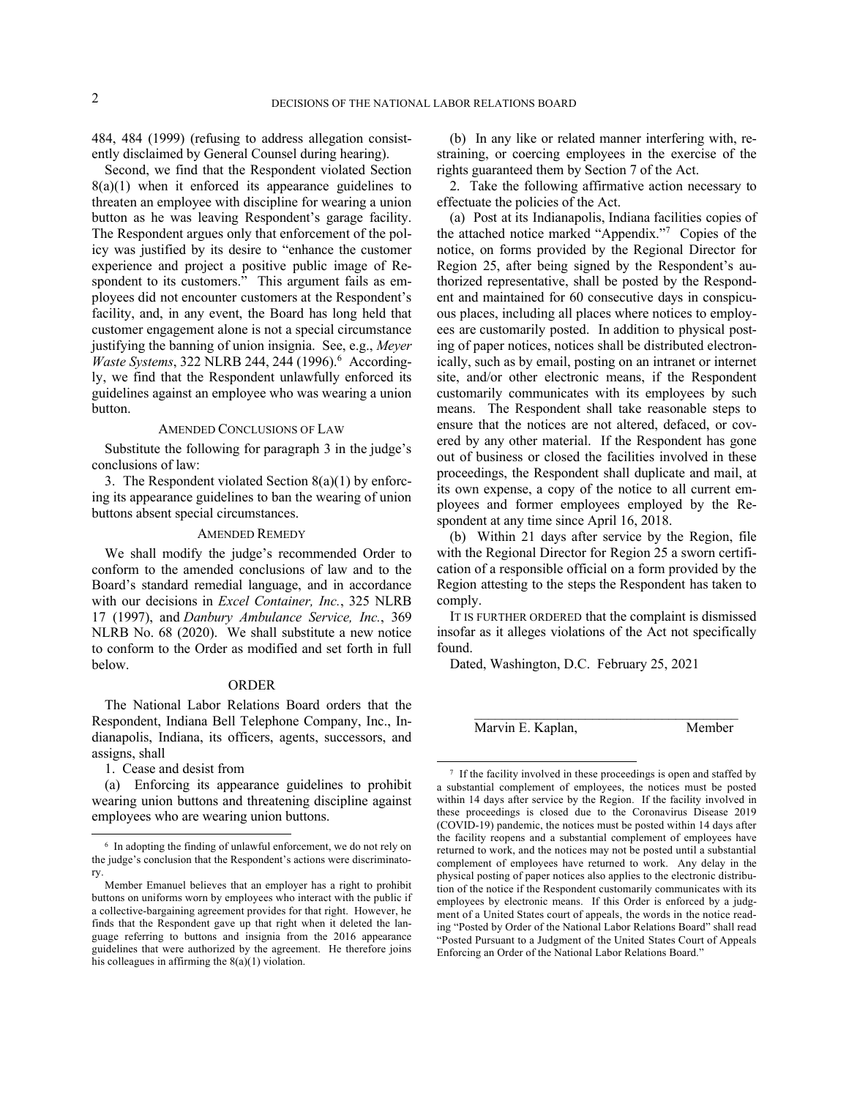484, 484 (1999) (refusing to address allegation consistently disclaimed by General Counsel during hearing).

Second, we find that the Respondent violated Section  $8(a)(1)$  when it enforced its appearance guidelines to threaten an employee with discipline for wearing a union button as he was leaving Respondent's garage facility. The Respondent argues only that enforcement of the policy was justified by its desire to "enhance the customer experience and project a positive public image of Respondent to its customers." This argument fails as employees did not encounter customers at the Respondent's facility, and, in any event, the Board has long held that customer engagement alone is not a special circumstance justifying the banning of union insignia. See, e.g., *Meyer*  Waste Systems, 322 NLRB 244, 244 (1996).<sup>6</sup> Accordingly, we find that the Respondent unlawfully enforced its guidelines against an employee who was wearing a union button.

# AMENDED CONCLUSIONS OF LAW

Substitute the following for paragraph 3 in the judge's conclusions of law:

3. The Respondent violated Section 8(a)(1) by enforcing its appearance guidelines to ban the wearing of union buttons absent special circumstances.

# AMENDED REMEDY

We shall modify the judge's recommended Order to conform to the amended conclusions of law and to the Board's standard remedial language, and in accordance with our decisions in *Excel Container, Inc.*, 325 NLRB 17 (1997), and *Danbury Ambulance Service, Inc.*, 369 NLRB No. 68 (2020). We shall substitute a new notice to conform to the Order as modified and set forth in full below.

# ORDER

The National Labor Relations Board orders that the Respondent, Indiana Bell Telephone Company, Inc., Indianapolis, Indiana, its officers, agents, successors, and assigns, shall

1. Cease and desist from

(a) Enforcing its appearance guidelines to prohibit wearing union buttons and threatening discipline against employees who are wearing union buttons.

(b) In any like or related manner interfering with, restraining, or coercing employees in the exercise of the rights guaranteed them by Section 7 of the Act.

2. Take the following affirmative action necessary to effectuate the policies of the Act.

(a) Post at its Indianapolis, Indiana facilities copies of the attached notice marked "Appendix."<sup>7</sup> Copies of the notice, on forms provided by the Regional Director for Region 25, after being signed by the Respondent's authorized representative, shall be posted by the Respondent and maintained for 60 consecutive days in conspicuous places, including all places where notices to employees are customarily posted. In addition to physical posting of paper notices, notices shall be distributed electronically, such as by email, posting on an intranet or internet site, and/or other electronic means, if the Respondent customarily communicates with its employees by such means. The Respondent shall take reasonable steps to ensure that the notices are not altered, defaced, or covered by any other material. If the Respondent has gone out of business or closed the facilities involved in these proceedings, the Respondent shall duplicate and mail, at its own expense, a copy of the notice to all current employees and former employees employed by the Respondent at any time since April 16, 2018.

(b) Within 21 days after service by the Region, file with the Regional Director for Region 25 a sworn certification of a responsible official on a form provided by the Region attesting to the steps the Respondent has taken to comply.

IT IS FURTHER ORDERED that the complaint is dismissed insofar as it alleges violations of the Act not specifically found.

 $\mathcal{L}_\text{max}$ 

Dated, Washington, D.C. February 25, 2021

Marvin E. Kaplan, Member

<sup>6</sup> In adopting the finding of unlawful enforcement, we do not rely on the judge's conclusion that the Respondent's actions were discriminatory.

Member Emanuel believes that an employer has a right to prohibit buttons on uniforms worn by employees who interact with the public if a collective-bargaining agreement provides for that right. However, he finds that the Respondent gave up that right when it deleted the language referring to buttons and insignia from the 2016 appearance guidelines that were authorized by the agreement. He therefore joins his colleagues in affirming the 8(a)(1) violation.

<sup>&</sup>lt;sup>7</sup> If the facility involved in these proceedings is open and staffed by a substantial complement of employees, the notices must be posted within 14 days after service by the Region. If the facility involved in these proceedings is closed due to the Coronavirus Disease 2019 (COVID-19) pandemic, the notices must be posted within 14 days after the facility reopens and a substantial complement of employees have returned to work, and the notices may not be posted until a substantial complement of employees have returned to work. Any delay in the physical posting of paper notices also applies to the electronic distribution of the notice if the Respondent customarily communicates with its employees by electronic means. If this Order is enforced by a judgment of a United States court of appeals, the words in the notice reading "Posted by Order of the National Labor Relations Board" shall read "Posted Pursuant to a Judgment of the United States Court of Appeals Enforcing an Order of the National Labor Relations Board."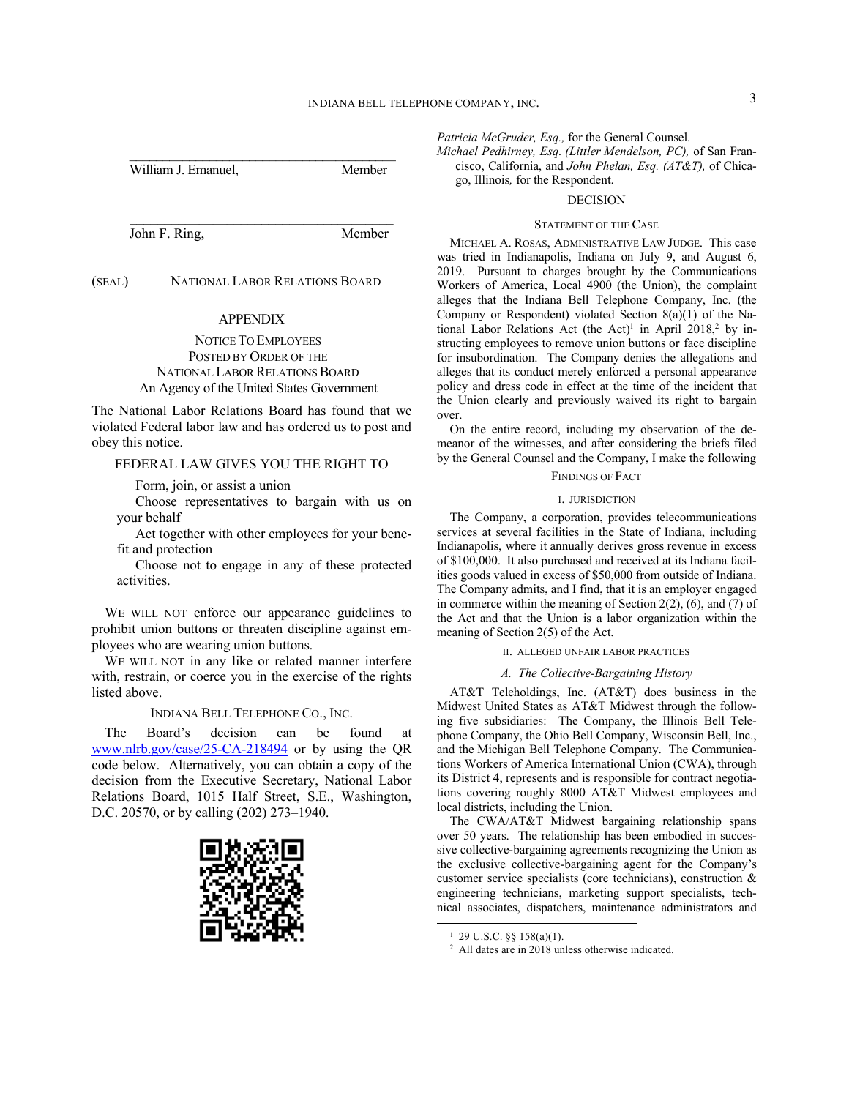William J. Emanuel, Member

(SEAL) NATIONAL LABOR RELATIONS BOARD

# APPENDIX

John F. Ring, Member

NOTICE TO EMPLOYEES POSTED BY ORDER OF THE NATIONAL LABOR RELATIONS BOARD An Agency of the United States Government

The National Labor Relations Board has found that we violated Federal labor law and has ordered us to post and obey this notice.

# FEDERAL LAW GIVES YOU THE RIGHT TO

Form, join, or assist a union

Choose representatives to bargain with us on your behalf

Act together with other employees for your benefit and protection

Choose not to engage in any of these protected activities.

WE WILL NOT enforce our appearance guidelines to prohibit union buttons or threaten discipline against employees who are wearing union buttons.

WE WILL NOT in any like or related manner interfere with, restrain, or coerce you in the exercise of the rights listed above.

### INDIANA BELL TELEPHONE CO., INC.

The Board's decision can be found at www.nlrb.gov/case/25-CA-218494 or by using the QR code below. Alternatively, you can obtain a copy of the decision from the Executive Secretary, National Labor Relations Board, 1015 Half Street, S.E., Washington, D.C. 20570, or by calling (202) 273–1940.



*Patricia McGruder, Esq.,* for the General Counsel.

*Michael Pedhirney, Esq. (Littler Mendelson, PC),* of San Francisco, California, and *John Phelan, Esq. (AT&T),* of Chicago, Illinois*,* for the Respondent.

### DECISION

#### STATEMENT OF THE CASE

MICHAEL A. ROSAS, ADMINISTRATIVE LAW JUDGE. This case was tried in Indianapolis, Indiana on July 9, and August 6, 2019. Pursuant to charges brought by the Communications Workers of America, Local 4900 (the Union), the complaint alleges that the Indiana Bell Telephone Company, Inc. (the Company or Respondent) violated Section 8(a)(1) of the National Labor Relations Act (the Act)<sup>1</sup> in April 2018,<sup>2</sup> by instructing employees to remove union buttons or face discipline for insubordination. The Company denies the allegations and alleges that its conduct merely enforced a personal appearance policy and dress code in effect at the time of the incident that the Union clearly and previously waived its right to bargain over.

On the entire record, including my observation of the demeanor of the witnesses, and after considering the briefs filed by the General Counsel and the Company, I make the following

## FINDINGS OF FACT

#### I. JURISDICTION

The Company, a corporation, provides telecommunications services at several facilities in the State of Indiana, including Indianapolis, where it annually derives gross revenue in excess of \$100,000. It also purchased and received at its Indiana facilities goods valued in excess of \$50,000 from outside of Indiana. The Company admits, and I find, that it is an employer engaged in commerce within the meaning of Section  $2(2)$ ,  $(6)$ , and  $(7)$  of the Act and that the Union is a labor organization within the meaning of Section 2(5) of the Act.

### II. ALLEGED UNFAIR LABOR PRACTICES

## *A. The Collective-Bargaining History*

AT&T Teleholdings, Inc. (AT&T) does business in the Midwest United States as AT&T Midwest through the following five subsidiaries: The Company, the Illinois Bell Telephone Company, the Ohio Bell Company, Wisconsin Bell, Inc., and the Michigan Bell Telephone Company. The Communications Workers of America International Union (CWA), through its District 4, represents and is responsible for contract negotiations covering roughly 8000 AT&T Midwest employees and local districts, including the Union.

The CWA/AT&T Midwest bargaining relationship spans over 50 years. The relationship has been embodied in successive collective-bargaining agreements recognizing the Union as the exclusive collective-bargaining agent for the Company's customer service specialists (core technicians), construction & engineering technicians, marketing support specialists, technical associates, dispatchers, maintenance administrators and

 $1$  29 U.S.C.  $\S$ § 158(a)(1).

<sup>2</sup> All dates are in 2018 unless otherwise indicated.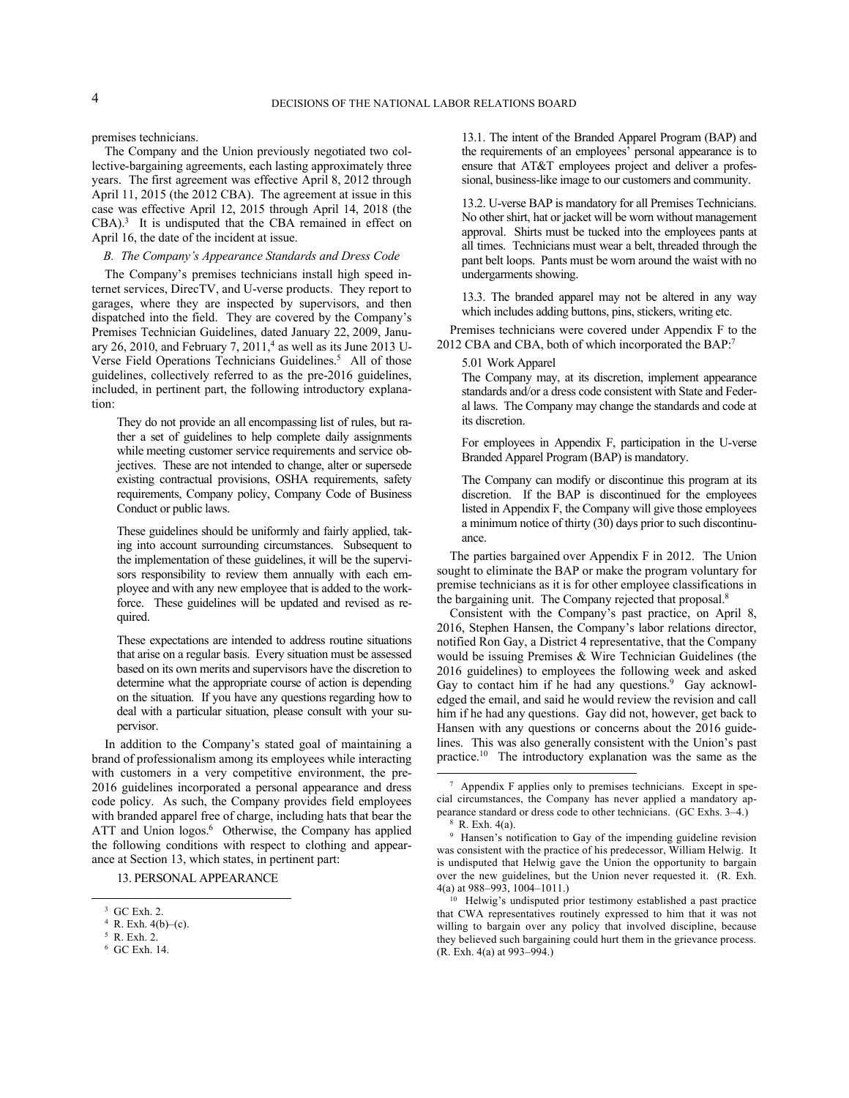premises technicians.

The Company and the Union previously negotiated two collective-bargaining agreements, each lasting approximately three years. The first agreement was effective April 8, 2012 through April 11, 2015 (the 2012 CBA). The agreement at issue in this case was effective April 12, 2015 through April 14, 2018 (the  $CBA$ ).<sup>3</sup> It is undisputed that the CBA remained in effect on April 16, the date of the incident at issue.

# *B. The Company's Appearance Standards and Dress Code*

The Company's premises technicians install high speed internet services, DirecTV, and U-verse products. They report to garages, where they are inspected by supervisors, and then dispatched into the field. They are covered by the Company's Premises Technician Guidelines, dated January 22, 2009, January 26, 2010, and February 7, 2011,<sup>4</sup> as well as its June 2013 U-Verse Field Operations Technicians Guidelines.<sup>5</sup> All of those guidelines, collectively referred to as the pre-2016 guidelines, included, in pertinent part, the following introductory explanation:

They do not provide an all encompassing list of rules, but rather a set of guidelines to help complete daily assignments while meeting customer service requirements and service objectives. These are not intended to change, alter or supersede existing contractual provisions, OSHA requirements, safety requirements, Company policy, Company Code of Business Conduct or public laws.

These guidelines should be uniformly and fairly applied, taking into account surrounding circumstances. Subsequent to the implementation of these guidelines, it will be the supervisors responsibility to review them annually with each employee and with any new employee that is added to the workforce. These guidelines will be updated and revised as required.

These expectations are intended to address routine situations that arise on a regular basis. Every situation must be assessed based on its own merits and supervisors have the discretion to determine what the appropriate course of action is depending on the situation. If you have any questions regarding how to deal with a particular situation, please consult with your supervisor.

In addition to the Company's stated goal of maintaining a brand of professionalism among its employees while interacting with customers in a very competitive environment, the pre-2016 guidelines incorporated a personal appearance and dress code policy. As such, the Company provides field employees with branded apparel free of charge, including hats that bear the ATT and Union logos.<sup>6</sup> Otherwise, the Company has applied the following conditions with respect to clothing and appearance at Section 13, which states, in pertinent part:

13. PERSONAL APPEARANCE

13.1. The intent of the Branded Apparel Program (BAP) and the requirements of an employees' personal appearance is to ensure that AT&T employees project and deliver a professional, business-like image to our customers and community.

13.2. U-verse BAP is mandatory for all Premises Technicians. No other shirt, hat or jacket will be worn without management approval. Shirts must be tucked into the employees pants at all times. Technicians must wear a belt, threaded through the pant belt loops. Pants must be worn around the waist with no undergarments showing.

13.3. The branded apparel may not be altered in any way which includes adding buttons, pins, stickers, writing etc.

Premises technicians were covered under Appendix F to the 2012 CBA and CBA, both of which incorporated the BAP:<sup>7</sup>

5.01 Work Apparel

The Company may, at its discretion, implement appearance standards and/or a dress code consistent with State and Federal laws. The Company may change the standards and code at its discretion.

For employees in Appendix F, participation in the U-verse Branded Apparel Program (BAP) is mandatory.

The Company can modify or discontinue this program at its discretion. If the BAP is discontinued for the employees listed in Appendix F, the Company will give those employees a minimum notice of thirty (30) days prior to such discontinuance.

The parties bargained over Appendix F in 2012. The Union sought to eliminate the BAP or make the program voluntary for premise technicians as it is for other employee classifications in the bargaining unit. The Company rejected that proposal.<sup>8</sup>

Consistent with the Company's past practice, on April 8, 2016, Stephen Hansen, the Company's labor relations director, notified Ron Gay, a District 4 representative, that the Company would be issuing Premises & Wire Technician Guidelines (the 2016 guidelines) to employees the following week and asked Gay to contact him if he had any questions.<sup>9</sup> Gay acknowledged the email, and said he would review the revision and call him if he had any questions. Gay did not, however, get back to Hansen with any questions or concerns about the 2016 guidelines. This was also generally consistent with the Union's past practice.<sup>10</sup> The introductory explanation was the same as the

<sup>3</sup> GC Exh. 2.

 $4$  R. Exh.  $4(b)-(c)$ .

<sup>5</sup> R. Exh. 2.

<sup>6</sup> GC Exh. 14.

<sup>7</sup> Appendix F applies only to premises technicians. Except in special circumstances, the Company has never applied a mandatory appearance standard or dress code to other technicians. (GC Exhs. 3‒4.) <sup>8</sup> R. Exh. 4(a).

<sup>9</sup> Hansen's notification to Gay of the impending guideline revision was consistent with the practice of his predecessor, William Helwig. It is undisputed that Helwig gave the Union the opportunity to bargain over the new guidelines, but the Union never requested it. (R. Exh. 4(a) at  $988 - 993$ ,  $1004 - 1011$ .

<sup>&</sup>lt;sup>10</sup> Helwig's undisputed prior testimony established a past practice that CWA representatives routinely expressed to him that it was not willing to bargain over any policy that involved discipline, because they believed such bargaining could hurt them in the grievance process. (R. Exh. 4(a) at 993‒994.)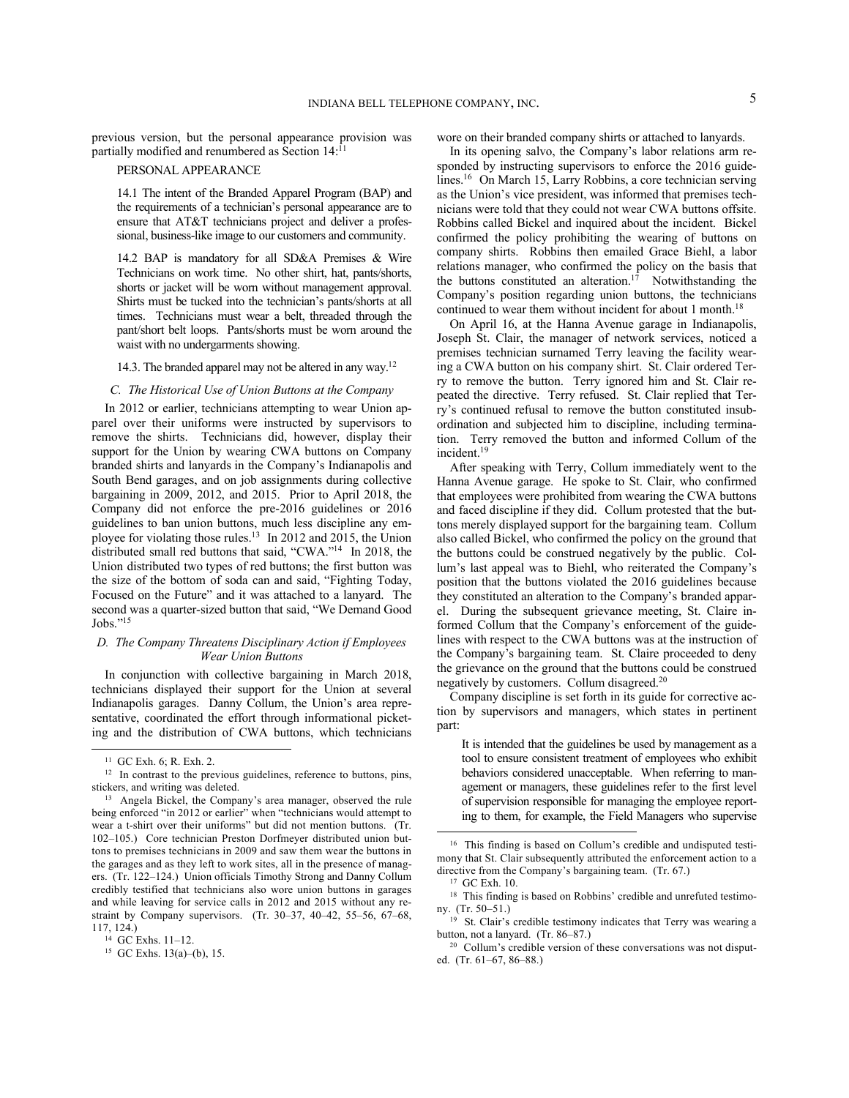previous version, but the personal appearance provision was partially modified and renumbered as Section 14:<sup>11</sup>

# PERSONAL APPEARANCE

14.1 The intent of the Branded Apparel Program (BAP) and the requirements of a technician's personal appearance are to ensure that AT&T technicians project and deliver a professional, business-like image to our customers and community.

14.2 BAP is mandatory for all SD&A Premises & Wire Technicians on work time. No other shirt, hat, pants/shorts, shorts or jacket will be worn without management approval. Shirts must be tucked into the technician's pants/shorts at all times. Technicians must wear a belt, threaded through the pant/short belt loops. Pants/shorts must be worn around the waist with no undergarments showing.

# 14.3. The branded apparel may not be altered in any way.<sup>12</sup>

### *C. The Historical Use of Union Buttons at the Company*

In 2012 or earlier, technicians attempting to wear Union apparel over their uniforms were instructed by supervisors to remove the shirts. Technicians did, however, display their support for the Union by wearing CWA buttons on Company branded shirts and lanyards in the Company's Indianapolis and South Bend garages, and on job assignments during collective bargaining in 2009, 2012, and 2015. Prior to April 2018, the Company did not enforce the pre-2016 guidelines or 2016 guidelines to ban union buttons, much less discipline any employee for violating those rules.<sup>13</sup> In 2012 and 2015, the Union distributed small red buttons that said, "CWA." 14 In 2018, the Union distributed two types of red buttons; the first button was the size of the bottom of soda can and said, "Fighting Today, Focused on the Future" and it was attached to a lanyard. The second was a quarter-sized button that said, "We Demand Good Jobs." 15

# *D. The Company Threatens Disciplinary Action if Employees Wear Union Buttons*

In conjunction with collective bargaining in March 2018, technicians displayed their support for the Union at several Indianapolis garages. Danny Collum, the Union's area representative, coordinated the effort through informational picketing and the distribution of CWA buttons, which technicians wore on their branded company shirts or attached to lanyards.

In its opening salvo, the Company's labor relations arm responded by instructing supervisors to enforce the 2016 guidelines.<sup>16</sup> On March 15, Larry Robbins, a core technician serving as the Union's vice president, was informed that premises technicians were told that they could not wear CWA buttons offsite. Robbins called Bickel and inquired about the incident. Bickel confirmed the policy prohibiting the wearing of buttons on company shirts. Robbins then emailed Grace Biehl, a labor relations manager, who confirmed the policy on the basis that the buttons constituted an alteration.<sup>17</sup> Notwithstanding the Company's position regarding union buttons, the technicians continued to wear them without incident for about 1 month.<sup>18</sup>

On April 16, at the Hanna Avenue garage in Indianapolis, Joseph St. Clair, the manager of network services, noticed a premises technician surnamed Terry leaving the facility wearing a CWA button on his company shirt. St. Clair ordered Terry to remove the button. Terry ignored him and St. Clair repeated the directive. Terry refused. St. Clair replied that Terry's continued refusal to remove the button constituted insubordination and subjected him to discipline, including termination. Terry removed the button and informed Collum of the incident.<sup>19</sup>

After speaking with Terry, Collum immediately went to the Hanna Avenue garage. He spoke to St. Clair, who confirmed that employees were prohibited from wearing the CWA buttons and faced discipline if they did. Collum protested that the buttons merely displayed support for the bargaining team. Collum also called Bickel, who confirmed the policy on the ground that the buttons could be construed negatively by the public. Collum's last appeal was to Biehl, who reiterated the Company's position that the buttons violated the 2016 guidelines because they constituted an alteration to the Company's branded apparel. During the subsequent grievance meeting, St. Claire informed Collum that the Company's enforcement of the guidelines with respect to the CWA buttons was at the instruction of the Company's bargaining team. St. Claire proceeded to deny the grievance on the ground that the buttons could be construed negatively by customers. Collum disagreed.<sup>20</sup>

Company discipline is set forth in its guide for corrective action by supervisors and managers, which states in pertinent part:

It is intended that the guidelines be used by management as a tool to ensure consistent treatment of employees who exhibit behaviors considered unacceptable. When referring to management or managers, these guidelines refer to the first level of supervision responsible for managing the employee reporting to them, for example, the Field Managers who supervise

<sup>11</sup> GC Exh. 6; R. Exh. 2.

<sup>&</sup>lt;sup>12</sup> In contrast to the previous guidelines, reference to buttons, pins, stickers, and writing was deleted.

<sup>13</sup> Angela Bickel, the Company's area manager, observed the rule being enforced "in 2012 or earlier" when "technicians would attempt to wear a t-shirt over their uniforms" but did not mention buttons. (Tr. 102-105.) Core technician Preston Dorfmeyer distributed union buttons to premises technicians in 2009 and saw them wear the buttons in the garages and as they left to work sites, all in the presence of managers. (Tr. 122-124.) Union officials Timothy Strong and Danny Collum credibly testified that technicians also wore union buttons in garages and while leaving for service calls in 2012 and 2015 without any restraint by Company supervisors. (Tr. 30-37, 40-42, 55-56, 67-68, 117, 124.)

<sup>&</sup>lt;sup>14</sup> GC Exhs. 11-12.

<sup>&</sup>lt;sup>15</sup> GC Exhs. 13(a)–(b), 15.

<sup>&</sup>lt;sup>16</sup> This finding is based on Collum's credible and undisputed testimony that St. Clair subsequently attributed the enforcement action to a directive from the Company's bargaining team. (Tr. 67.)

<sup>17</sup> GC Exh. 10.

<sup>&</sup>lt;sup>18</sup> This finding is based on Robbins' credible and unrefuted testimony. (Tr. 50‒51.)

<sup>19</sup> St. Clair's credible testimony indicates that Terry was wearing a button, not a lanyard. (Tr. 86–87.)

<sup>20</sup> Collum's credible version of these conversations was not disputed. (Tr. 61-67, 86-88.)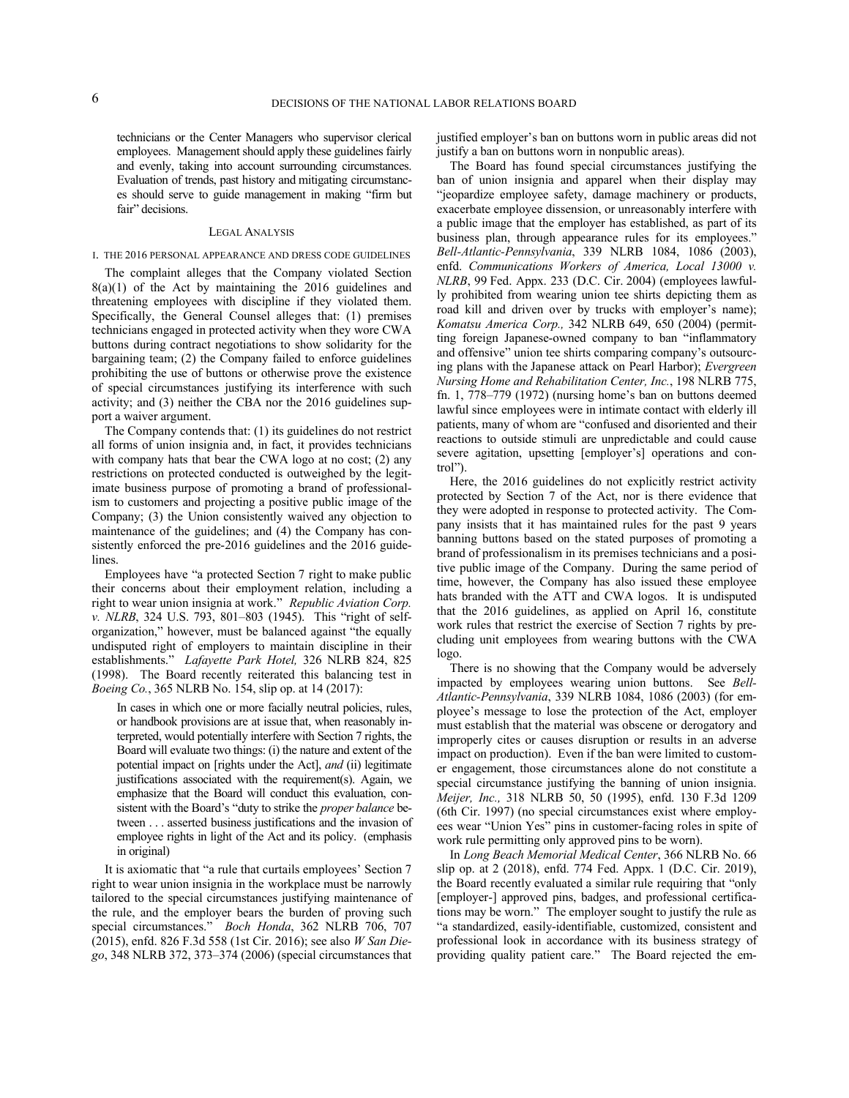technicians or the Center Managers who supervisor clerical employees. Management should apply these guidelines fairly and evenly, taking into account surrounding circumstances. Evaluation of trends, past history and mitigating circumstances should serve to guide management in making "firm but fair" decisions.

#### LEGAL ANALYSIS

### I. THE 2016 PERSONAL APPEARANCE AND DRESS CODE GUIDELINES

The complaint alleges that the Company violated Section  $8(a)(1)$  of the Act by maintaining the 2016 guidelines and threatening employees with discipline if they violated them. Specifically, the General Counsel alleges that: (1) premises technicians engaged in protected activity when they wore CWA buttons during contract negotiations to show solidarity for the bargaining team; (2) the Company failed to enforce guidelines prohibiting the use of buttons or otherwise prove the existence of special circumstances justifying its interference with such activity; and (3) neither the CBA nor the 2016 guidelines support a waiver argument.

The Company contends that: (1) its guidelines do not restrict all forms of union insignia and, in fact, it provides technicians with company hats that bear the CWA logo at no cost; (2) any restrictions on protected conducted is outweighed by the legitimate business purpose of promoting a brand of professionalism to customers and projecting a positive public image of the Company; (3) the Union consistently waived any objection to maintenance of the guidelines; and (4) the Company has consistently enforced the pre-2016 guidelines and the 2016 guidelines.

Employees have "a protected Section 7 right to make public their concerns about their employment relation, including a right to wear union insignia at work." *Republic Aviation Corp. v. NLRB*, 324 U.S. 793, 801-803 (1945). This "right of selforganization," however, must be balanced against "the equally undisputed right of employers to maintain discipline in their establishments." *Lafayette Park Hotel,* 326 NLRB 824, 825 (1998). The Board recently reiterated this balancing test in *Boeing Co.*, 365 NLRB No. 154, slip op. at 14 (2017):

In cases in which one or more facially neutral policies, rules, or handbook provisions are at issue that, when reasonably interpreted, would potentially interfere with Section 7 rights, the Board will evaluate two things: (i) the nature and extent of the potential impact on [rights under the Act], *and* (ii) legitimate justifications associated with the requirement(s). Again, we emphasize that the Board will conduct this evaluation, consistent with the Board's "duty to strike the *proper balance* between . . . asserted business justifications and the invasion of employee rights in light of the Act and its policy. (emphasis in original)

It is axiomatic that "a rule that curtails employees' Section 7 right to wear union insignia in the workplace must be narrowly tailored to the special circumstances justifying maintenance of the rule, and the employer bears the burden of proving such special circumstances." *Boch Honda*, 362 NLRB 706, 707 (2015), enfd. 826 F.3d 558 (1st Cir. 2016); see also *W San Diego*, 348 NLRB 372, 373‒374 (2006) (special circumstances that

justified employer's ban on buttons worn in public areas did not justify a ban on buttons worn in nonpublic areas).

The Board has found special circumstances justifying the ban of union insignia and apparel when their display may "jeopardize employee safety, damage machinery or products, exacerbate employee dissension, or unreasonably interfere with a public image that the employer has established, as part of its business plan, through appearance rules for its employees." *Bell-Atlantic-Pennsylvania*, 339 NLRB 1084, 1086 (2003), enfd. *Communications Workers of America, Local 13000 v. NLRB*, 99 Fed. Appx. 233 (D.C. Cir. 2004) (employees lawfully prohibited from wearing union tee shirts depicting them as road kill and driven over by trucks with employer's name); *Komatsu America Corp.,* 342 NLRB 649, 650 (2004) (permitting foreign Japanese-owned company to ban "inflammatory and offensive" union tee shirts comparing company's outsourcing plans with the Japanese attack on Pearl Harbor); *Evergreen Nursing Home and Rehabilitation Center, Inc.*, 198 NLRB 775, fn. 1, 778‒779 (1972) (nursing home's ban on buttons deemed lawful since employees were in intimate contact with elderly ill patients, many of whom are "confused and disoriented and their reactions to outside stimuli are unpredictable and could cause severe agitation, upsetting [employer's] operations and control").

Here, the 2016 guidelines do not explicitly restrict activity protected by Section 7 of the Act, nor is there evidence that they were adopted in response to protected activity. The Company insists that it has maintained rules for the past 9 years banning buttons based on the stated purposes of promoting a brand of professionalism in its premises technicians and a positive public image of the Company. During the same period of time, however, the Company has also issued these employee hats branded with the ATT and CWA logos. It is undisputed that the 2016 guidelines, as applied on April 16, constitute work rules that restrict the exercise of Section 7 rights by precluding unit employees from wearing buttons with the CWA logo.

There is no showing that the Company would be adversely impacted by employees wearing union buttons. See *Bell-Atlantic-Pennsylvania*, 339 NLRB 1084, 1086 (2003) (for employee's message to lose the protection of the Act, employer must establish that the material was obscene or derogatory and improperly cites or causes disruption or results in an adverse impact on production). Even if the ban were limited to customer engagement, those circumstances alone do not constitute a special circumstance justifying the banning of union insignia. *Meijer, Inc.,* 318 NLRB 50, 50 (1995), enfd. 130 F.3d 1209 (6th Cir. 1997) (no special circumstances exist where employees wear "Union Yes" pins in customer-facing roles in spite of work rule permitting only approved pins to be worn).

In *Long Beach Memorial Medical Center*, 366 NLRB No. 66 slip op. at 2 (2018), enfd. 774 Fed. Appx. 1 (D.C. Cir. 2019), the Board recently evaluated a similar rule requiring that "only [employer-] approved pins, badges, and professional certifications may be worn." The employer sought to justify the rule as "a standardized, easily-identifiable, customized, consistent and professional look in accordance with its business strategy of providing quality patient care." The Board rejected the em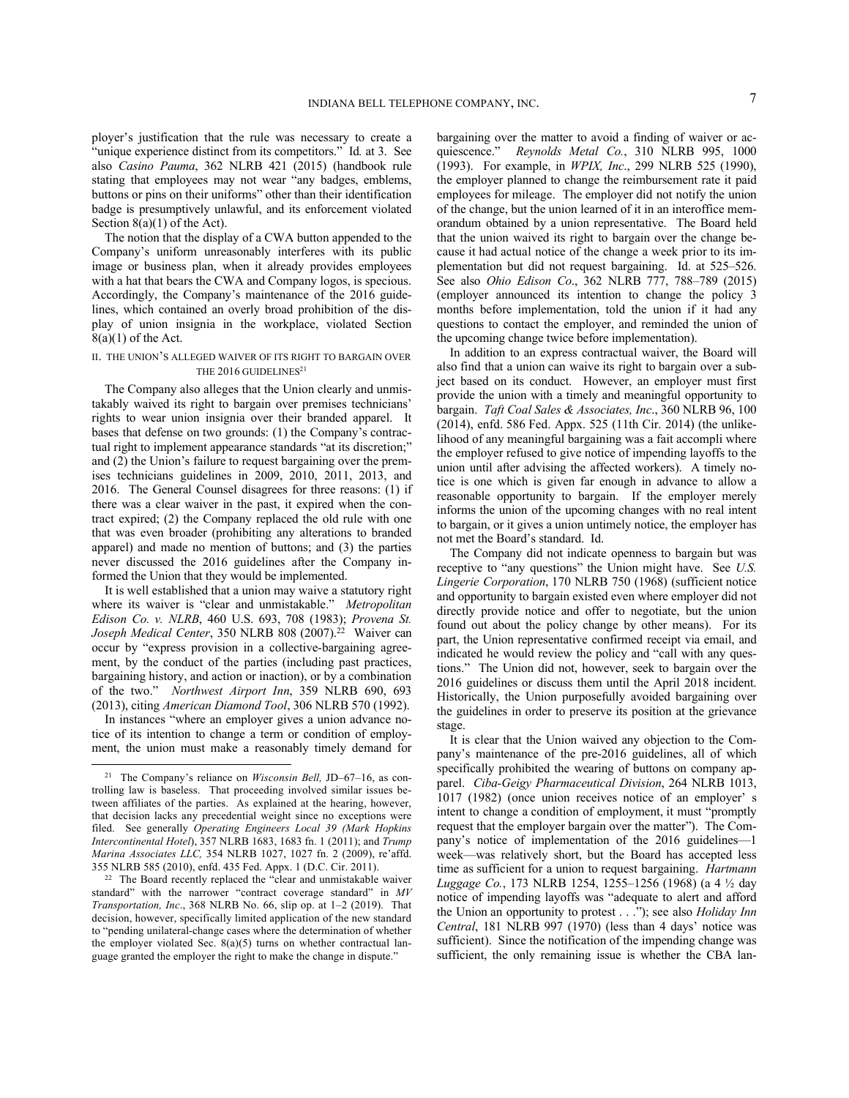ployer's justification that the rule was necessary to create a "unique experience distinct from its competitors." Id*.* at 3. See also *Casino Pauma*, 362 NLRB 421 (2015) (handbook rule stating that employees may not wear "any badges, emblems, buttons or pins on their uniforms" other than their identification badge is presumptively unlawful, and its enforcement violated Section 8(a)(1) of the Act).

The notion that the display of a CWA button appended to the Company's uniform unreasonably interferes with its public image or business plan, when it already provides employees with a hat that bears the CWA and Company logos, is specious. Accordingly, the Company's maintenance of the 2016 guidelines, which contained an overly broad prohibition of the display of union insignia in the workplace, violated Section  $8(a)(1)$  of the Act.

# II. THE UNION'S ALLEGED WAIVER OF ITS RIGHT TO BARGAIN OVER THE 2016 GUIDELINES<sup>21</sup>

The Company also alleges that the Union clearly and unmistakably waived its right to bargain over premises technicians' rights to wear union insignia over their branded apparel. It bases that defense on two grounds: (1) the Company's contractual right to implement appearance standards "at its discretion;" and (2) the Union's failure to request bargaining over the premises technicians guidelines in 2009, 2010, 2011, 2013, and 2016. The General Counsel disagrees for three reasons: (1) if there was a clear waiver in the past, it expired when the contract expired; (2) the Company replaced the old rule with one that was even broader (prohibiting any alterations to branded apparel) and made no mention of buttons; and (3) the parties never discussed the 2016 guidelines after the Company informed the Union that they would be implemented.

It is well established that a union may waive a statutory right where its waiver is "clear and unmistakable." *Metropolitan Edison Co. v. NLRB*, 460 U.S. 693, 708 (1983); *Provena St.*  Joseph Medical Center, 350 NLRB 808 (2007).<sup>22</sup> Waiver can occur by "express provision in a collective-bargaining agreement, by the conduct of the parties (including past practices, bargaining history, and action or inaction), or by a combination of the two." *Northwest Airport Inn*, 359 NLRB 690, 693 (2013), citing *American Diamond Tool*, 306 NLRB 570 (1992).

In instances "where an employer gives a union advance notice of its intention to change a term or condition of employment, the union must make a reasonably timely demand for bargaining over the matter to avoid a finding of waiver or acquiescence." *Reynolds Metal Co.*, 310 NLRB 995, 1000 (1993). For example, in *WPIX, Inc*., 299 NLRB 525 (1990), the employer planned to change the reimbursement rate it paid employees for mileage. The employer did not notify the union of the change, but the union learned of it in an interoffice memorandum obtained by a union representative. The Board held that the union waived its right to bargain over the change because it had actual notice of the change a week prior to its implementation but did not request bargaining. Id. at 525-526. See also *Ohio Edison Co.*, 362 NLRB 777, 788-789 (2015) (employer announced its intention to change the policy 3 months before implementation, told the union if it had any questions to contact the employer, and reminded the union of the upcoming change twice before implementation).

In addition to an express contractual waiver, the Board will also find that a union can waive its right to bargain over a subject based on its conduct. However, an employer must first provide the union with a timely and meaningful opportunity to bargain. *Taft Coal Sales & Associates, Inc*., 360 NLRB 96, 100 (2014), enfd. 586 Fed. Appx. 525 (11th Cir. 2014) (the unlikelihood of any meaningful bargaining was a fait accompli where the employer refused to give notice of impending layoffs to the union until after advising the affected workers). A timely notice is one which is given far enough in advance to allow a reasonable opportunity to bargain. If the employer merely informs the union of the upcoming changes with no real intent to bargain, or it gives a union untimely notice, the employer has not met the Board's standard. Id.

The Company did not indicate openness to bargain but was receptive to "any questions" the Union might have. See *U.S. Lingerie Corporation*, 170 NLRB 750 (1968) (sufficient notice and opportunity to bargain existed even where employer did not directly provide notice and offer to negotiate, but the union found out about the policy change by other means). For its part, the Union representative confirmed receipt via email, and indicated he would review the policy and "call with any questions." The Union did not, however, seek to bargain over the 2016 guidelines or discuss them until the April 2018 incident. Historically, the Union purposefully avoided bargaining over the guidelines in order to preserve its position at the grievance stage.

It is clear that the Union waived any objection to the Company's maintenance of the pre-2016 guidelines, all of which specifically prohibited the wearing of buttons on company apparel. *Ciba-Geigy Pharmaceutical Division*, 264 NLRB 1013, 1017 (1982) (once union receives notice of an employer' s intent to change a condition of employment, it must "promptly request that the employer bargain over the matter"). The Company's notice of implementation of the 2016 guidelines—1 week—was relatively short, but the Board has accepted less time as sufficient for a union to request bargaining. *Hartmann Luggage Co.*, 173 NLRB 1254, 1255‒1256 (1968) (a 4 ½ day notice of impending layoffs was "adequate to alert and afford the Union an opportunity to protest . . ."); see also *Holiday Inn Central*, 181 NLRB 997 (1970) (less than 4 days' notice was sufficient). Since the notification of the impending change was sufficient, the only remaining issue is whether the CBA lan-

<sup>&</sup>lt;sup>21</sup> The Company's reliance on *Wisconsin Bell*, JD–67–16, as controlling law is baseless. That proceeding involved similar issues between affiliates of the parties. As explained at the hearing, however, that decision lacks any precedential weight since no exceptions were filed. See generally *Operating Engineers Local 39 (Mark Hopkins Intercontinental Hotel*), 357 NLRB 1683, 1683 fn. 1 (2011); and *Trump Marina Associates LLC,* 354 NLRB 1027, 1027 fn. 2 (2009), re'affd. 355 NLRB 585 (2010), enfd. 435 Fed. Appx. 1 (D.C. Cir. 2011).

<sup>22</sup> The Board recently replaced the "clear and unmistakable waiver standard" with the narrower "contract coverage standard" in *MV Transportation, Inc*., 368 NLRB No. 66, slip op. at 1‒2 (2019). That decision, however, specifically limited application of the new standard to "pending unilateral-change cases where the determination of whether the employer violated Sec. 8(a)(5) turns on whether contractual language granted the employer the right to make the change in dispute."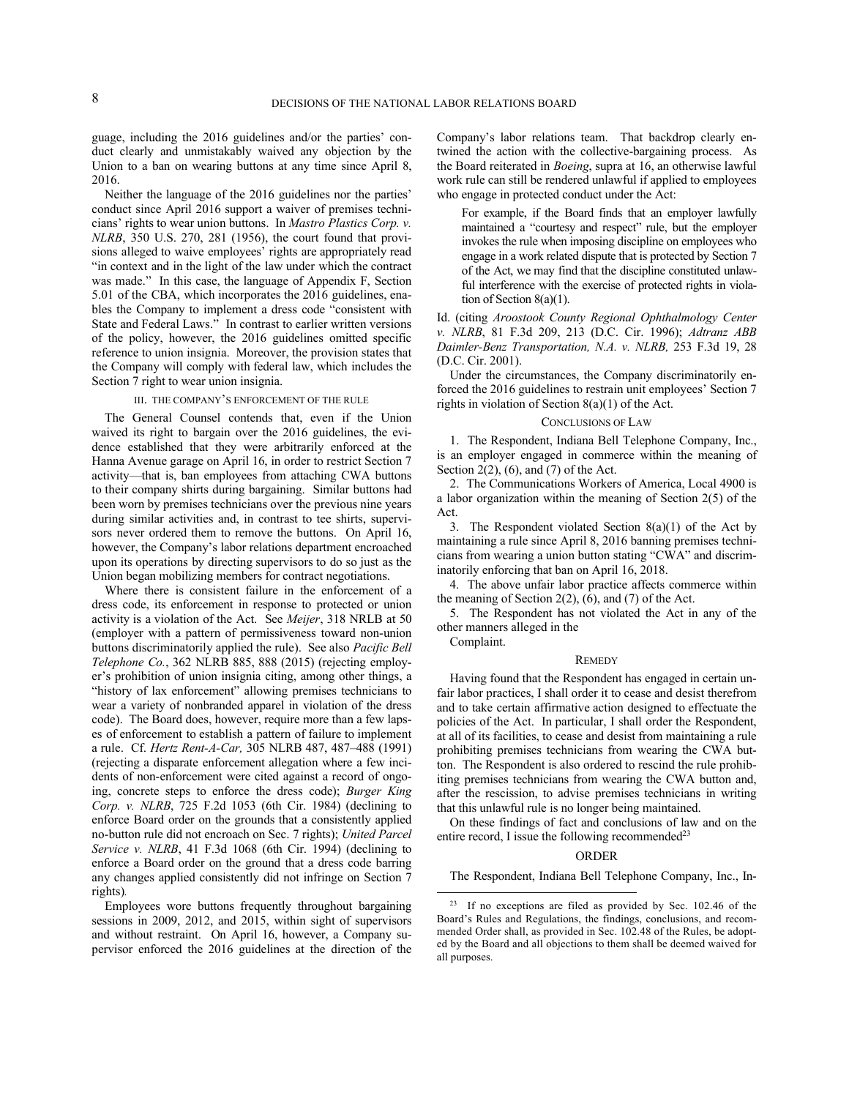guage, including the 2016 guidelines and/or the parties' conduct clearly and unmistakably waived any objection by the Union to a ban on wearing buttons at any time since April 8, 2016.

Neither the language of the 2016 guidelines nor the parties' conduct since April 2016 support a waiver of premises technicians' rights to wear union buttons. In *Mastro Plastics Corp. v. NLRB*, 350 U.S. 270, 281 (1956), the court found that provisions alleged to waive employees' rights are appropriately read "in context and in the light of the law under which the contract was made." In this case, the language of Appendix F, Section 5.01 of the CBA, which incorporates the 2016 guidelines, enables the Company to implement a dress code "consistent with State and Federal Laws." In contrast to earlier written versions of the policy, however, the 2016 guidelines omitted specific reference to union insignia. Moreover, the provision states that the Company will comply with federal law, which includes the Section 7 right to wear union insignia.

#### III. THE COMPANY'S ENFORCEMENT OF THE RULE

The General Counsel contends that, even if the Union waived its right to bargain over the 2016 guidelines, the evidence established that they were arbitrarily enforced at the Hanna Avenue garage on April 16, in order to restrict Section 7 activity—that is, ban employees from attaching CWA buttons to their company shirts during bargaining. Similar buttons had been worn by premises technicians over the previous nine years during similar activities and, in contrast to tee shirts, supervisors never ordered them to remove the buttons. On April 16, however, the Company's labor relations department encroached upon its operations by directing supervisors to do so just as the Union began mobilizing members for contract negotiations.

Where there is consistent failure in the enforcement of a dress code, its enforcement in response to protected or union activity is a violation of the Act. See *Meijer*, 318 NRLB at 50 (employer with a pattern of permissiveness toward non-union buttons discriminatorily applied the rule). See also *Pacific Bell Telephone Co.*, 362 NLRB 885, 888 (2015) (rejecting employer's prohibition of union insignia citing, among other things, a "history of lax enforcement" allowing premises technicians to wear a variety of nonbranded apparel in violation of the dress code). The Board does, however, require more than a few lapses of enforcement to establish a pattern of failure to implement a rule. Cf. *Hertz Rent-A-Car*, 305 NLRB 487, 487-488 (1991) (rejecting a disparate enforcement allegation where a few incidents of non-enforcement were cited against a record of ongoing, concrete steps to enforce the dress code); *Burger King Corp. v. NLRB*, 725 F.2d 1053 (6th Cir. 1984) (declining to enforce Board order on the grounds that a consistently applied no-button rule did not encroach on Sec. 7 rights); *United Parcel Service v. NLRB*, 41 F.3d 1068 (6th Cir. 1994) (declining to enforce a Board order on the ground that a dress code barring any changes applied consistently did not infringe on Section 7 rights)*.*

Employees wore buttons frequently throughout bargaining sessions in 2009, 2012, and 2015, within sight of supervisors and without restraint. On April 16, however, a Company supervisor enforced the 2016 guidelines at the direction of the Company's labor relations team. That backdrop clearly entwined the action with the collective-bargaining process. As the Board reiterated in *Boeing*, supra at 16, an otherwise lawful work rule can still be rendered unlawful if applied to employees who engage in protected conduct under the Act:

For example, if the Board finds that an employer lawfully maintained a "courtesy and respect" rule, but the employer invokes the rule when imposing discipline on employees who engage in a work related dispute that is protected by Section 7 of the Act, we may find that the discipline constituted unlawful interference with the exercise of protected rights in violation of Section 8(a)(1).

Id. (citing *Aroostook County Regional Ophthalmology Center v. NLRB*, 81 F.3d 209, 213 (D.C. Cir. 1996); *Adtranz ABB Daimler-Benz Transportation, N.A. v. NLRB,* 253 F.3d 19, 28 (D.C. Cir. 2001).

Under the circumstances, the Company discriminatorily enforced the 2016 guidelines to restrain unit employees' Section 7 rights in violation of Section 8(a)(1) of the Act.

#### CONCLUSIONS OF LAW

1. The Respondent, Indiana Bell Telephone Company, Inc., is an employer engaged in commerce within the meaning of Section  $2(2)$ ,  $(6)$ , and  $(7)$  of the Act.

2. The Communications Workers of America, Local 4900 is a labor organization within the meaning of Section 2(5) of the Act.

3. The Respondent violated Section  $8(a)(1)$  of the Act by maintaining a rule since April 8, 2016 banning premises technicians from wearing a union button stating "CWA" and discriminatorily enforcing that ban on April 16, 2018.

4. The above unfair labor practice affects commerce within the meaning of Section  $2(2)$ ,  $(6)$ , and  $(7)$  of the Act.

5. The Respondent has not violated the Act in any of the other manners alleged in the Complaint.

# **REMEDY**

Having found that the Respondent has engaged in certain unfair labor practices, I shall order it to cease and desist therefrom and to take certain affirmative action designed to effectuate the policies of the Act. In particular, I shall order the Respondent, at all of its facilities, to cease and desist from maintaining a rule prohibiting premises technicians from wearing the CWA button. The Respondent is also ordered to rescind the rule prohibiting premises technicians from wearing the CWA button and, after the rescission, to advise premises technicians in writing that this unlawful rule is no longer being maintained.

On these findings of fact and conclusions of law and on the entire record, I issue the following recommended<sup>23</sup>

#### ORDER

The Respondent, Indiana Bell Telephone Company, Inc., In-

<sup>23</sup> If no exceptions are filed as provided by Sec. 102.46 of the Board's Rules and Regulations, the findings, conclusions, and recommended Order shall, as provided in Sec. 102.48 of the Rules, be adopted by the Board and all objections to them shall be deemed waived for all purposes.